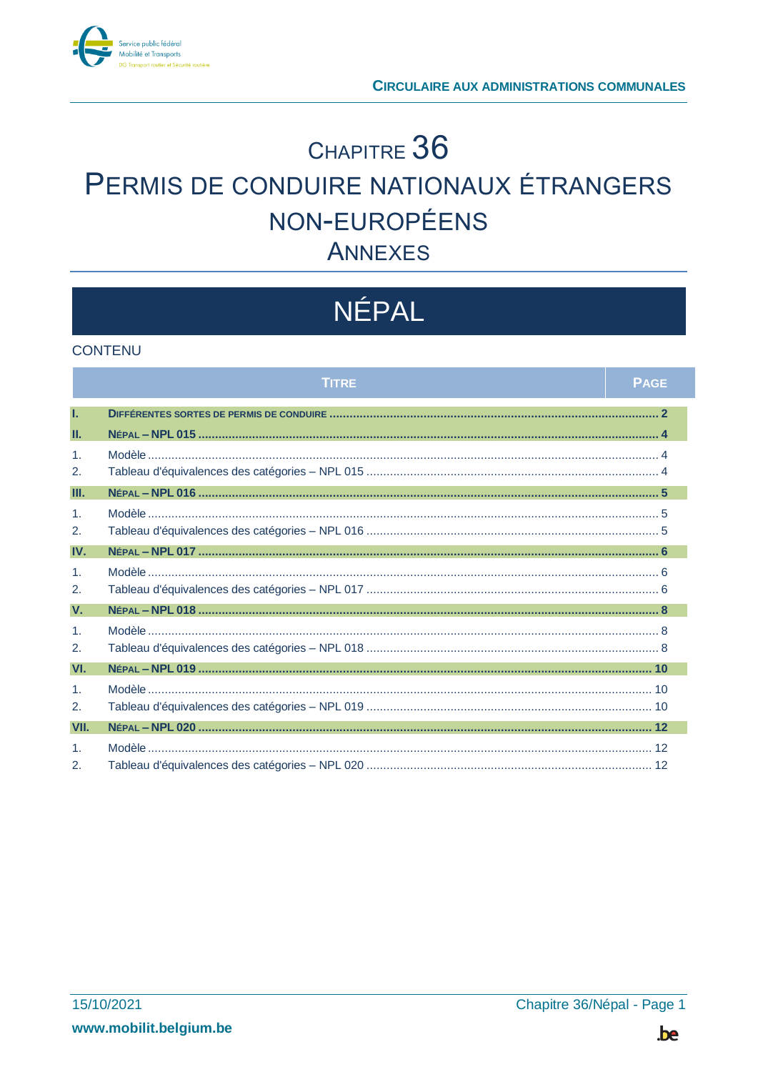

# CHAPITRE 36 PERMIS DE CONDUIRE NATIONAUX ÉTRANGERS NON-EUROPÉENS **ANNEXES**

# NÉPAL

#### **CONTENU**

|                       | <b>TITRE</b> | <b>PAGE</b> |
|-----------------------|--------------|-------------|
| T.                    |              |             |
| Ш.                    |              |             |
| $\mathbf{1}$ .        |              |             |
| 2.                    |              |             |
| Ш.                    |              |             |
| 1 <sub>1</sub>        |              |             |
| 2.                    |              |             |
| IV.                   |              |             |
| $\mathbf{1}$          |              |             |
| 2.                    |              |             |
| V.                    |              |             |
| 1 <sub>1</sub>        |              |             |
| 2.                    |              |             |
| VI.                   |              |             |
| 1 <sub>1</sub>        |              |             |
| 2.                    |              |             |
| VII.                  |              |             |
| $\mathbf{1}$          |              |             |
| $\mathcal{P}_{\cdot}$ |              |             |

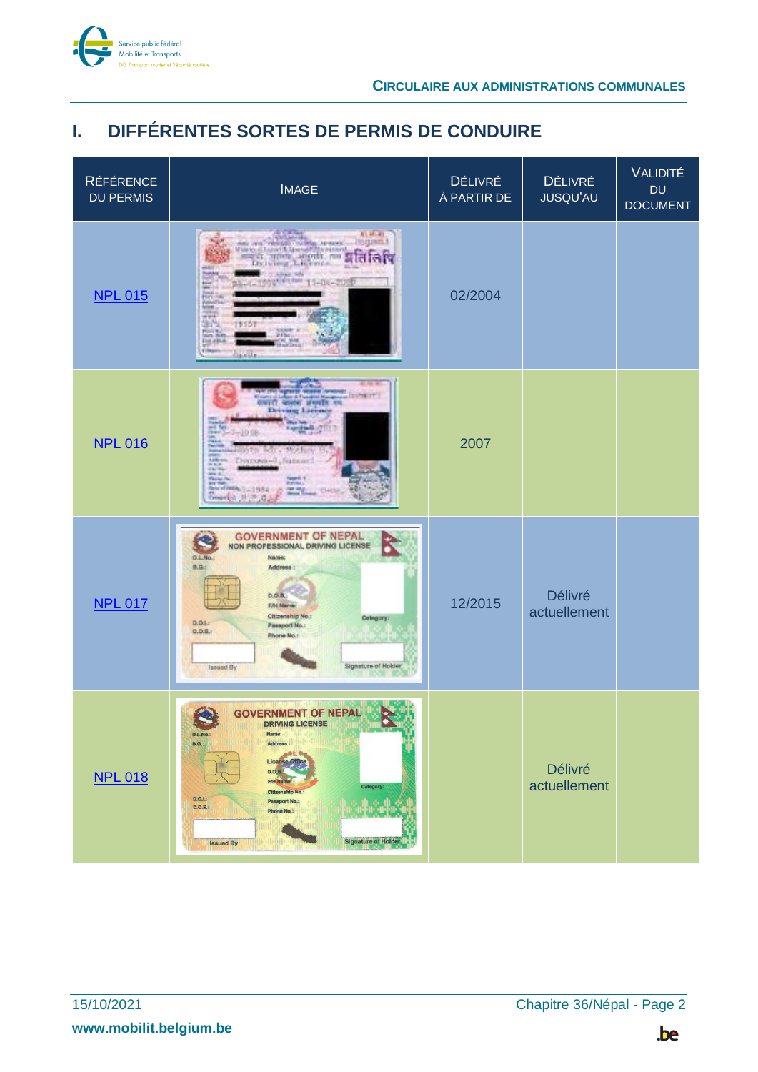

# <span id="page-1-0"></span>**I. DIFFÉRENTES SORTES DE PERMIS DE CONDUIRE**

| <b>RÉFÉRENCE</b><br><b>DU PERMIS</b> | <b>IMAGE</b>                                                                                                                                                                                                                                                                                       | DÉLIVRÉ<br>À PARTIR DE | <b>DÉLIVRÉ</b><br><b>JUSQU'AU</b> | <b>VALIDITÉ</b><br><b>DU</b><br><b>DOCUMENT</b> |
|--------------------------------------|----------------------------------------------------------------------------------------------------------------------------------------------------------------------------------------------------------------------------------------------------------------------------------------------------|------------------------|-----------------------------------|-------------------------------------------------|
| <b>NPL 015</b>                       | 83, 181, 181<br><b>Hisquest 4</b><br>481<br>CLINIC RM<br>عسا<br>HOOR ATA 11-DE-200<br>WINNI<br>22<br>华西<br>すちうか<br>院製<br><b>EMAP</b><br><b>Galvalle</b>                                                                                                                                            | 02/2004                |                                   |                                                 |
| <b>NPL 016</b>                       | <b>MALL</b><br><b>SIGNERS</b><br>and smoot angels are<br>-10.06<br><b>NEWSTER INTO</b><br><b>MOAT</b><br>Throwa-U.Susan<br><b>Plaza</b><br><b>PS 19</b><br>Berrings - 1984<br>ter ago                                                                                                              | 2007                   |                                   |                                                 |
| <b>NPL 017</b>                       | <b>GOVERNMENT OF NEPAL</b><br>NON PROFESSIONAL DRIVING LICENSE<br>D.L.No.:<br>Name:<br>B.G.<br>Address:<br>D.O.B.<br>F/H Name:<br>Citizenship No.:<br>Catagory:<br>D.O.L<br>Passport No.:<br>0.0.E.<br>Phone No.:<br>Signature of Holder<br>Issued By                                              | 12/2015                | <b>Délivré</b><br>actuellement    |                                                 |
| <b>NPL 018</b>                       | <b>GOVERNMENT OF NEPAL</b><br><b>DRIVING LICENSE</b><br>D.L.No.<br>Name:<br>Address :<br>B.G.<br><b>License Office</b><br>D.O.B.<br>F/H Name:<br>Category:<br><b>Citizenship No.</b><br>D. O. L:<br><b>Passport No.:</b><br>D.O.E.<br>Phone No.:<br><b>Signature of Holder</b><br><b>Issued By</b> |                        | Délivré<br>actuellement           |                                                 |

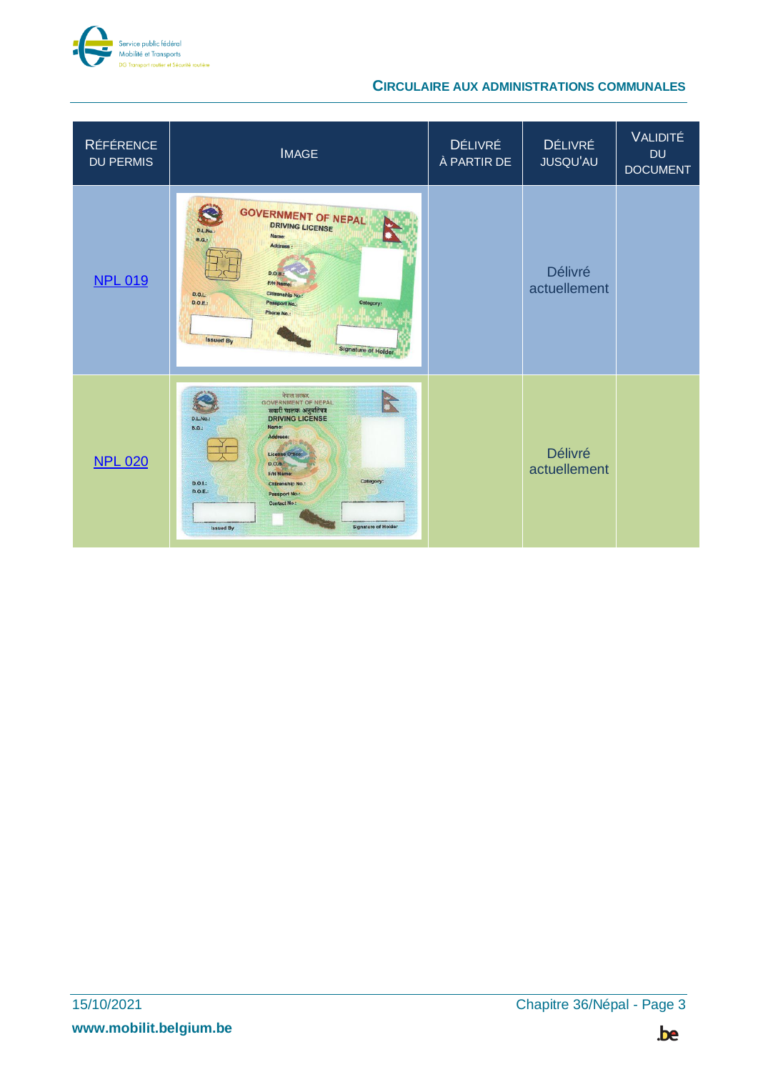

| <b>RÉFÉRENCE</b><br><b>DU PERMIS</b> | <b>IMAGE</b>                                                                                                                                                                                                                                                                                                                                       | <b>DÉLIVRÉ</b><br>À PARTIR DE | <b>DÉLIVRÉ</b><br>JUSQU'AU     | <b>VALIDITÉ</b><br><b>DU</b><br><b>DOCUMENT</b> |
|--------------------------------------|----------------------------------------------------------------------------------------------------------------------------------------------------------------------------------------------------------------------------------------------------------------------------------------------------------------------------------------------------|-------------------------------|--------------------------------|-------------------------------------------------|
| <b>NPL 019</b>                       | <b>GOVERNMENT OF NEPAL</b><br><b>DRIVING LICENSE</b><br><b>D.L.No</b><br>Name:<br><b>B.G.:</b><br>Address<br>D.O.B.<br><b>F/H Name:</b><br>Citizenship No.:<br>D.O.I.<br>D.O.E.<br>Passport No.:<br>Category:<br>Phone No.:<br><b>Issued By</b><br><b>Signature of Holder</b>                                                                      |                               | <b>Délivré</b><br>actuellement |                                                 |
| <b>NPL 020</b>                       | नेपाल सरकार<br>K<br><b>GOVERNMENT OF NEPAL</b><br>सवारी चालक अनुमतिपत्र<br><b>DRIVING LICENSE</b><br>D.L.No.:<br>Name:<br>$B.G.$ :<br>Address:<br>License Office<br>D.O.B.<br>F/H Name:<br>Category:<br>$D.O.I.$ :<br><b>Citizenship No.:</b><br>D.O.E.:<br>Passport No.:<br><b>Contact No.:</b><br><b>Signature of Holder</b><br><b>Issued By</b> |                               | <b>Délivré</b><br>actuellement |                                                 |

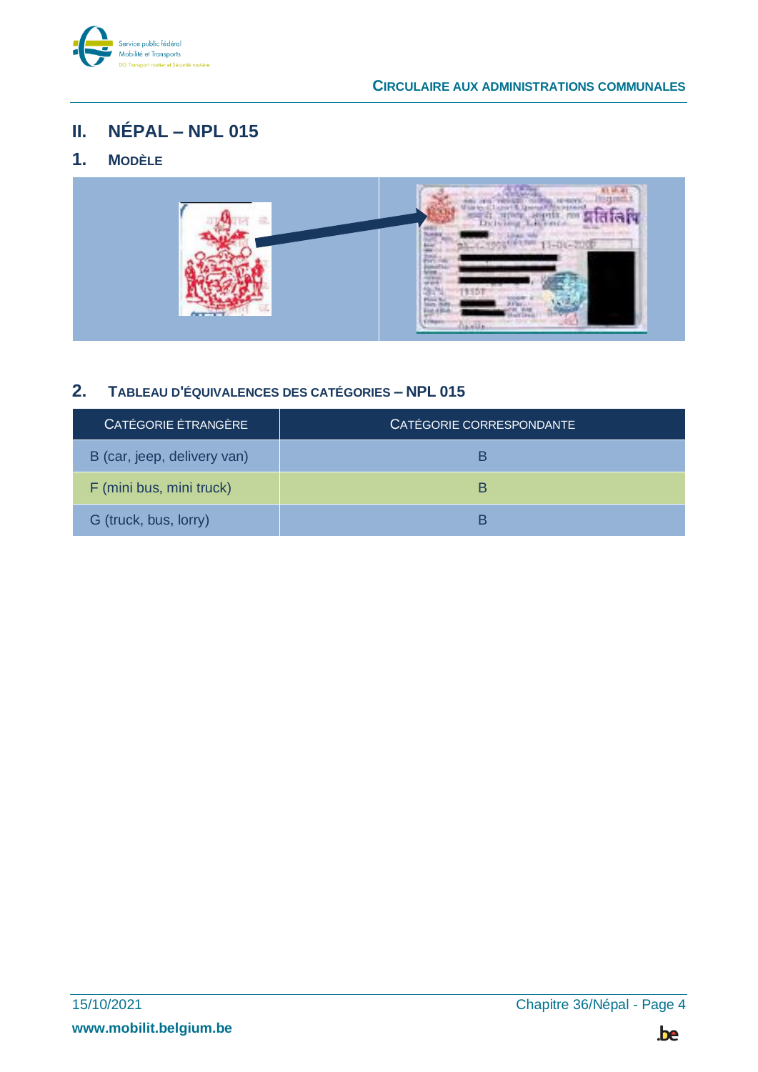

# <span id="page-3-0"></span>**II. NÉPAL – NPL 015**

### <span id="page-3-1"></span>**1. MODÈLE**



### <span id="page-3-2"></span>**2. TABLEAU D'ÉQUIVALENCES DES CATÉGORIES – NPL 015**

| CATÉGORIE ÉTRANGÈRE         | CATÉGORIE CORRESPONDANTE |
|-----------------------------|--------------------------|
| B (car, jeep, delivery van) |                          |
| F (mini bus, mini truck)    | B                        |
| G (truck, bus, lorry)       |                          |

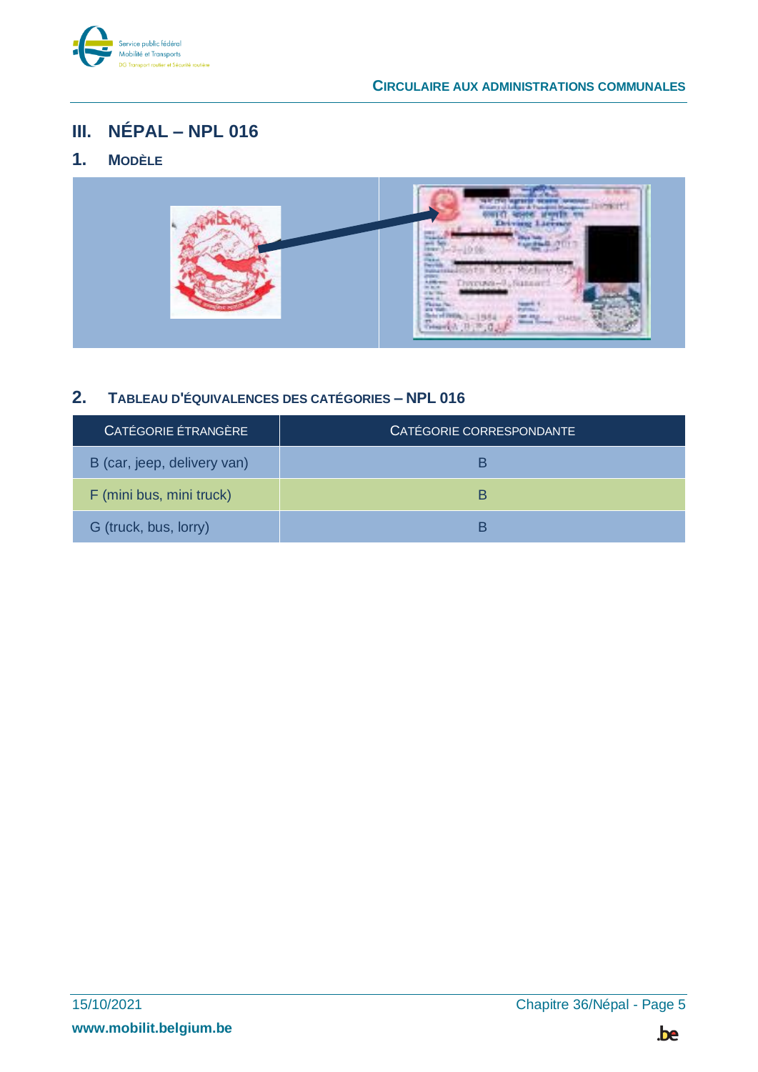

# <span id="page-4-0"></span>**III. NÉPAL – NPL 016**

### <span id="page-4-1"></span>**1. MODÈLE**



#### <span id="page-4-2"></span>**2. TABLEAU D'ÉQUIVALENCES DES CATÉGORIES – NPL 016**

| CATÉGORIE ÉTRANGÈRE         | CATÉGORIE CORRESPONDANTE |
|-----------------------------|--------------------------|
| B (car, jeep, delivery van) | В                        |
| F (mini bus, mini truck)    | R                        |
| G (truck, bus, lorry)       | P                        |

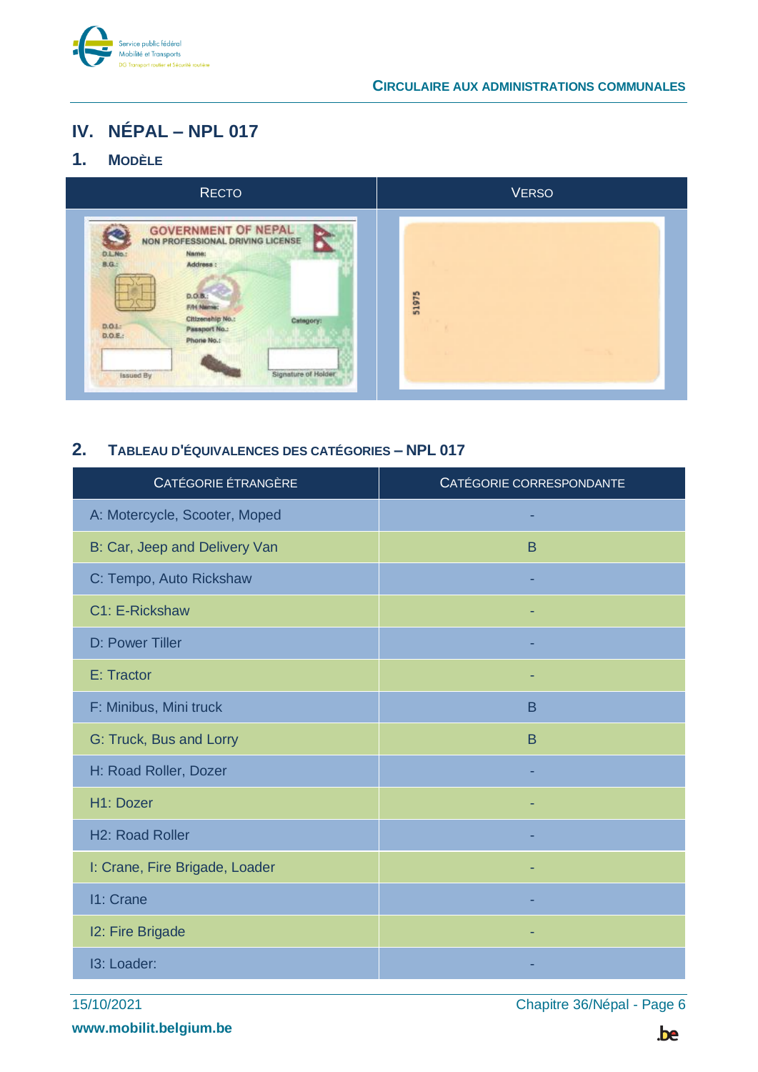

## <span id="page-5-0"></span>**IV. NÉPAL – NPL 017**

### <span id="page-5-1"></span>**1. MODÈLE**



#### <span id="page-5-2"></span>**2. TABLEAU D'ÉQUIVALENCES DES CATÉGORIES – NPL 017**

| CATÉGORIE ÉTRANGÈRE            | CATÉGORIE CORRESPONDANTE |
|--------------------------------|--------------------------|
| A: Motercycle, Scooter, Moped  |                          |
| B: Car, Jeep and Delivery Van  | B                        |
| C: Tempo, Auto Rickshaw        |                          |
| C1: E-Rickshaw                 |                          |
| D: Power Tiller                |                          |
| E: Tractor                     |                          |
| F: Minibus, Mini truck         | B                        |
| G: Truck, Bus and Lorry        | B                        |
| H: Road Roller, Dozer          |                          |
| H1: Dozer                      |                          |
| <b>H2: Road Roller</b>         |                          |
| I: Crane, Fire Brigade, Loader |                          |
| 11: Crane                      |                          |
| 12: Fire Brigade               |                          |
| 13: Loader:                    |                          |

15/10/2021 Chapitre 36/Népal - Page 6

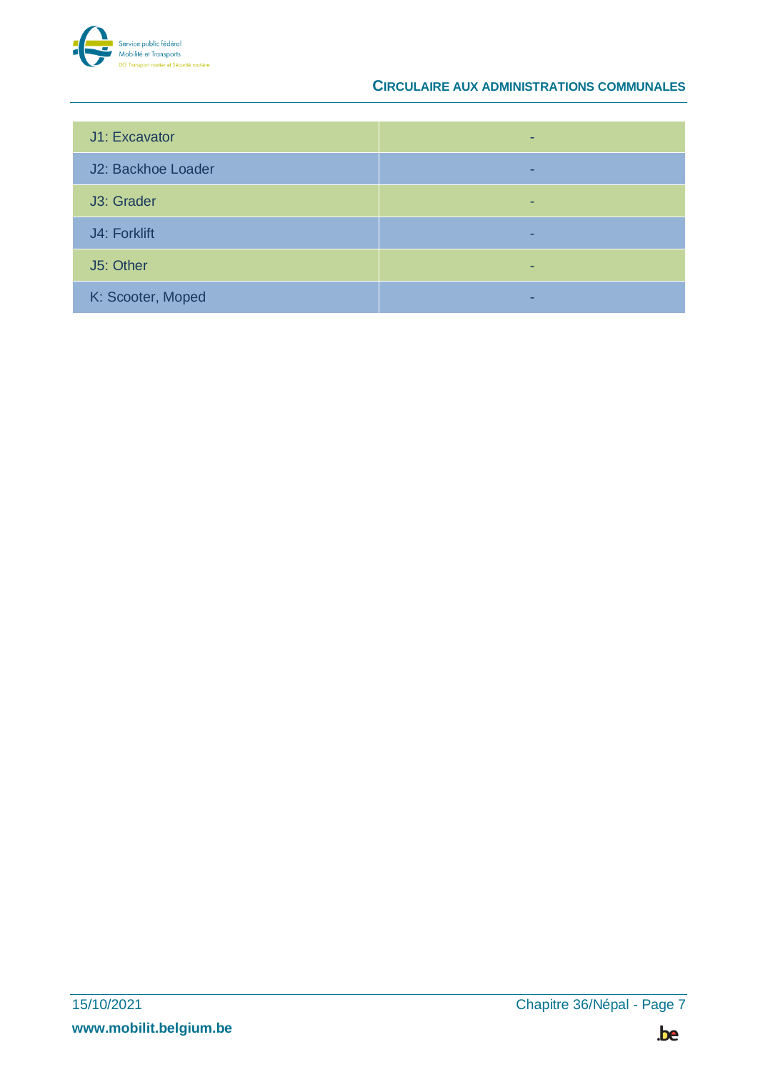

| J1: Excavator      |  |
|--------------------|--|
| J2: Backhoe Loader |  |
| J3: Grader         |  |
| J4: Forklift       |  |
| J5: Other          |  |
| K: Scooter, Moped  |  |

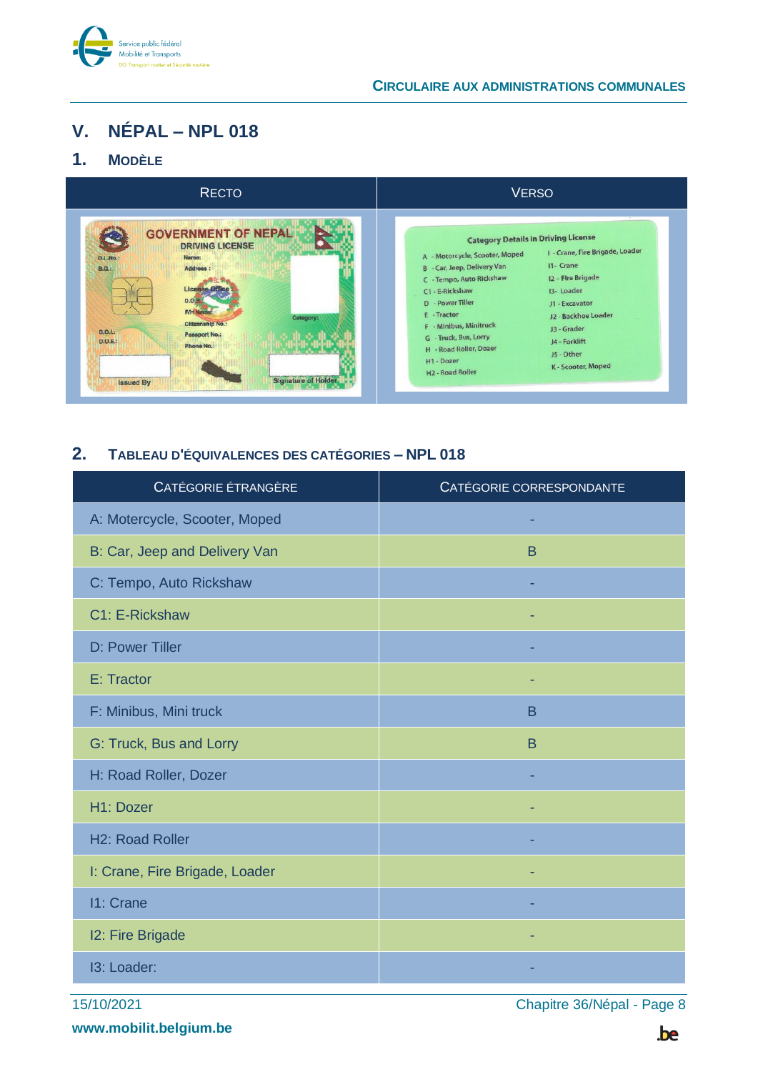

### <span id="page-7-0"></span>**V. NÉPAL – NPL 018**

#### <span id="page-7-1"></span>**1. MODÈLE**



#### <span id="page-7-2"></span>**2. TABLEAU D'ÉQUIVALENCES DES CATÉGORIES – NPL 018**

| CATÉGORIE ÉTRANGÈRE            | CATÉGORIE CORRESPONDANTE |
|--------------------------------|--------------------------|
| A: Motercycle, Scooter, Moped  |                          |
| B: Car, Jeep and Delivery Van  | B                        |
| C: Tempo, Auto Rickshaw        |                          |
| C1: E-Rickshaw                 |                          |
| D: Power Tiller                |                          |
| E: Tractor                     |                          |
| F: Minibus, Mini truck         | B                        |
| G: Truck, Bus and Lorry        | B                        |
| H: Road Roller, Dozer          |                          |
| H1: Dozer                      |                          |
| H <sub>2</sub> : Road Roller   |                          |
| I: Crane, Fire Brigade, Loader |                          |
| 11: Crane                      |                          |
| 12: Fire Brigade               |                          |
| 13: Loader:                    |                          |

15/10/2021 Chapitre 36/Népal - Page 8

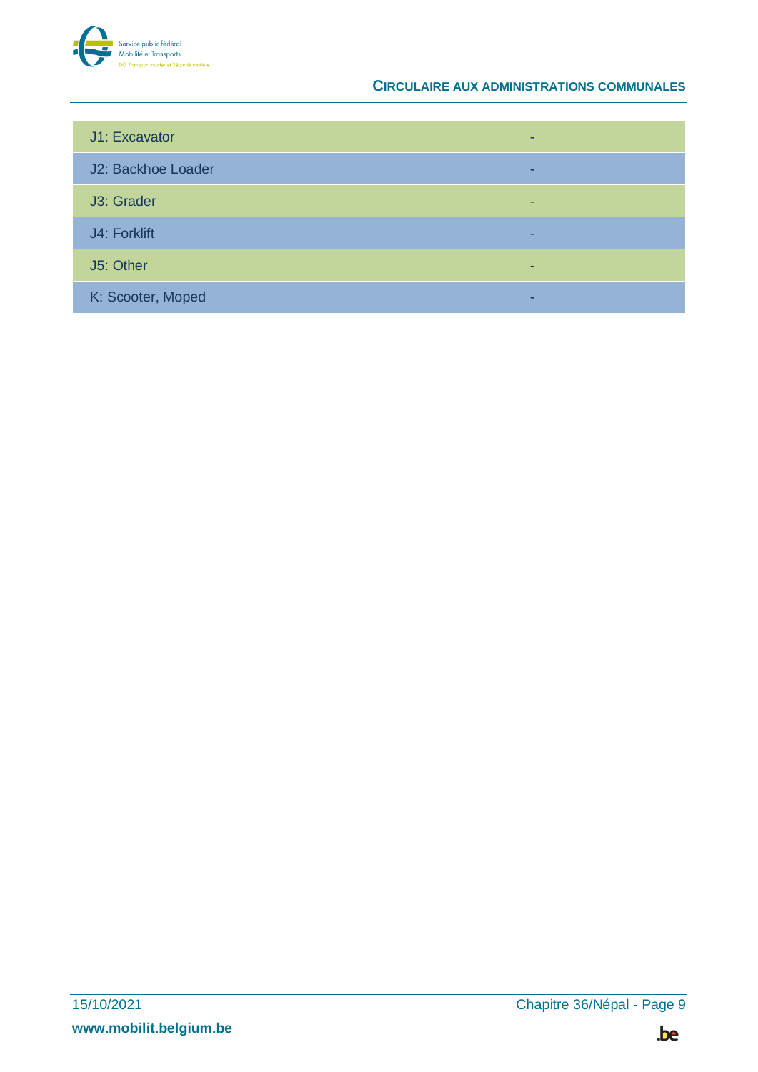

| J1: Excavator      |  |
|--------------------|--|
| J2: Backhoe Loader |  |
| J3: Grader         |  |
| J4: Forklift       |  |
| J5: Other          |  |
| K: Scooter, Moped  |  |

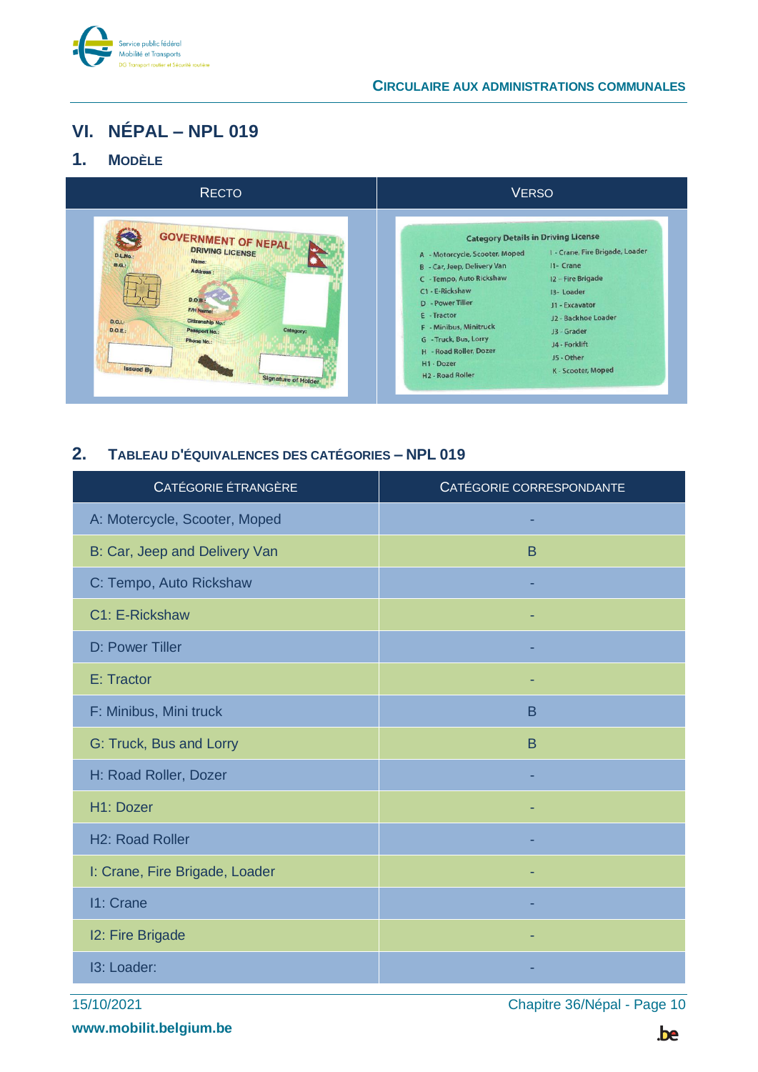

# <span id="page-9-0"></span>**VI. NÉPAL – NPL 019**

### <span id="page-9-1"></span>**1. MODÈLE**

| <b>RECTO</b>                                                                                                                                                                                                                                                       | <b>VERSO</b>                                                                                                                                                                                                                                                                                                                                                                                                                                                                                                                    |
|--------------------------------------------------------------------------------------------------------------------------------------------------------------------------------------------------------------------------------------------------------------------|---------------------------------------------------------------------------------------------------------------------------------------------------------------------------------------------------------------------------------------------------------------------------------------------------------------------------------------------------------------------------------------------------------------------------------------------------------------------------------------------------------------------------------|
| <b>GOVERNMENT OF NEPAL</b><br><b>DRIVING LICENSE</b><br><b>D.L.No.:</b><br>Name:<br>B.G.<br>Address :<br>D.O.B.<br><b>F/H Name:</b><br>Citizenship No.:<br>D.O.L.<br>D.O.E.<br>Category:<br>Passport No.:<br>Phone No.:<br>Issued By<br><b>Signature of Holder</b> | <b>Category Details in Driving License</b><br>I - Crane, Fire Brigade, Loader<br>A - Motorcycle, Scooter, Moped<br>I1- Crane<br>B - Car, Jeep, Delivery Van<br>C - Tempo, Auto Rickshaw<br>12 - Fire Brigade<br>C1 - E-Rickshaw<br>13- Loader<br><b>D</b> - Power Tiller<br>J1 - Excavator<br>E - Tractor<br>J2 - Backhoe Loader<br>F - Minibus, Minitruck<br>J3 - Grader<br>G - Truck, Bus, Lorry<br>J4 - Forklift<br>H - Road Roller, Dozer<br>J5 - Other<br>H1 - Dozer<br>K - Scooter, Moped<br>H <sub>2</sub> - Road Roller |

### <span id="page-9-2"></span>**2. TABLEAU D'ÉQUIVALENCES DES CATÉGORIES – NPL 019**

| CATÉGORIE ÉTRANGÈRE            | CATÉGORIE CORRESPONDANTE |
|--------------------------------|--------------------------|
| A: Motercycle, Scooter, Moped  |                          |
| B: Car, Jeep and Delivery Van  | B                        |
| C: Tempo, Auto Rickshaw        |                          |
| C1: E-Rickshaw                 |                          |
| D: Power Tiller                |                          |
| E: Tractor                     |                          |
| F: Minibus, Mini truck         | B                        |
| G: Truck, Bus and Lorry        | B                        |
| H: Road Roller, Dozer          |                          |
| H1: Dozer                      |                          |
| H <sub>2</sub> : Road Roller   |                          |
| I: Crane, Fire Brigade, Loader |                          |
| 11: Crane                      |                          |
| 12: Fire Brigade               |                          |
| <b>13: Loader:</b>             |                          |

15/10/2021 Chapitre 36/Népal - Page 10

**www.mobilit.belgium.be**

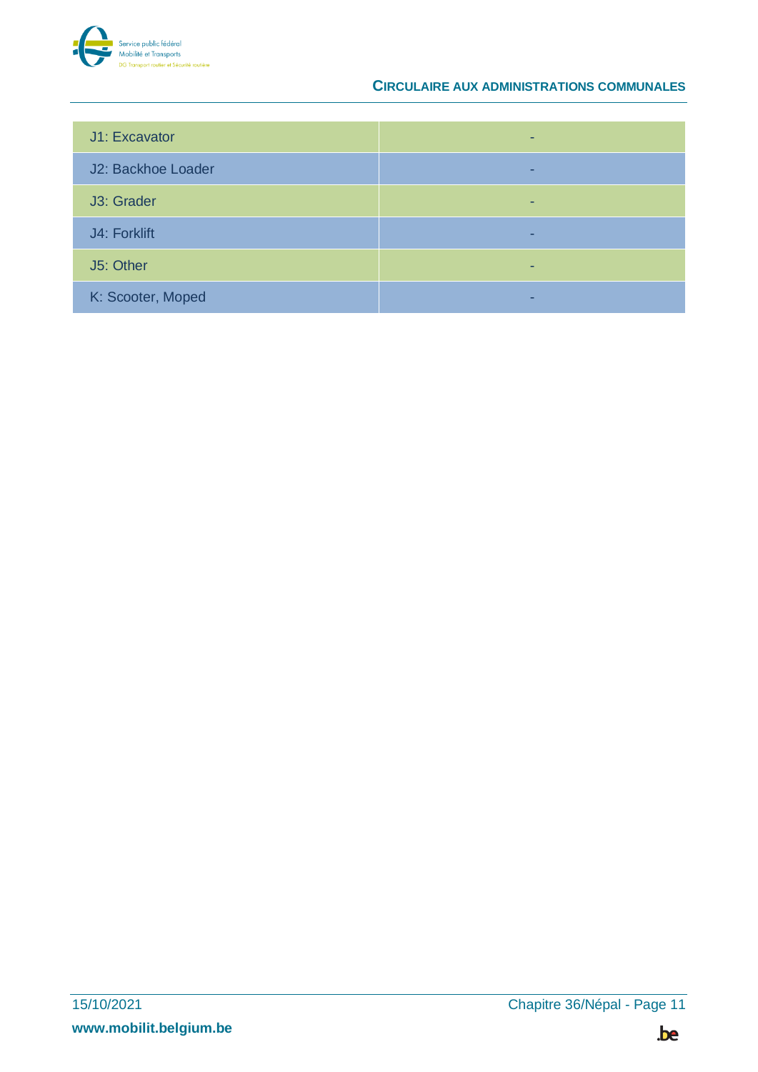

| J1: Excavator      |  |
|--------------------|--|
| J2: Backhoe Loader |  |
| J3: Grader         |  |
| J4: Forklift       |  |
| J5: Other          |  |
| K: Scooter, Moped  |  |

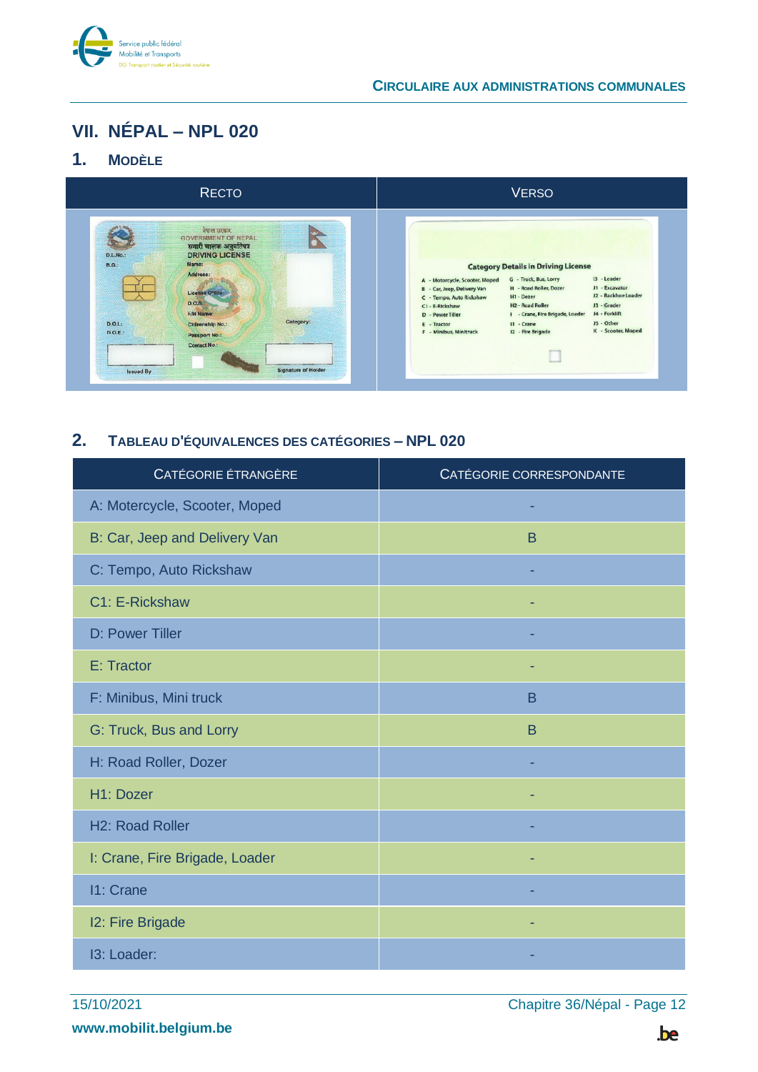

## <span id="page-11-0"></span>**VII. NÉPAL – NPL 020**

#### <span id="page-11-1"></span>**1. MODÈLE**



#### <span id="page-11-2"></span>**2. TABLEAU D'ÉQUIVALENCES DES CATÉGORIES – NPL 020**

| CATÉGORIE ÉTRANGÈRE            | CATÉGORIE CORRESPONDANTE |
|--------------------------------|--------------------------|
| A: Motercycle, Scooter, Moped  |                          |
| B: Car, Jeep and Delivery Van  | B                        |
| C: Tempo, Auto Rickshaw        |                          |
| C1: E-Rickshaw                 |                          |
| D: Power Tiller                |                          |
| E: Tractor                     |                          |
| F: Minibus, Mini truck         | B                        |
| G: Truck, Bus and Lorry        | B                        |
| H: Road Roller, Dozer          |                          |
| H1: Dozer                      |                          |
| H <sub>2</sub> : Road Roller   |                          |
| I: Crane, Fire Brigade, Loader |                          |
| 11: Crane                      |                          |
| 12: Fire Brigade               |                          |
| 13: Loader:                    |                          |

15/10/2021 Chapitre 36/Népal - Page 12